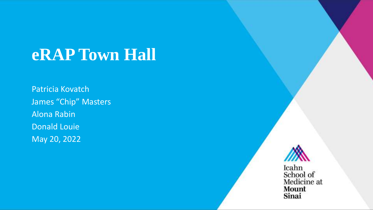## **eRAP Town Hall**

Patricia Kovatch James "Chip" Masters Alona Rabin Donald Louie May 20, 2022



Mount Sinai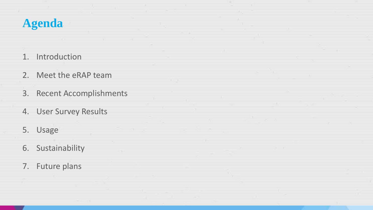### **Agenda**

- 1. Introduction
- 2. Meet the eRAP team
- 3. Recent Accomplishments
- 4. User Survey Results
- 5. Usage
- 6. Sustainability
- 7. Future plans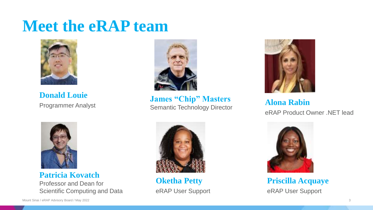### **Meet the eRAP team**



**Donald Louie**



**Alona Rabin**<br>
Programmer Analyst **Alona Rabin**<br>
Semantic Technology Director **James "Chip" Masters**



eRAP Product Owner .NET lead



**Patricia Kovatch**

Professor and Dean for Scientific Computing and Data



**Oketha Petty** eRAP User Support



**Priscilla Acquaye** eRAP User Support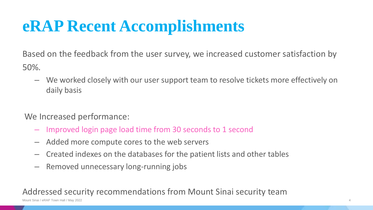## **eRAP Recent Accomplishments**

Based on the feedback from the user survey, we increased customer satisfaction by 50%.

– We worked closely with our user support team to resolve tickets more effectively on daily basis

#### We Increased performance:

- Improved login page load time from 30 seconds to 1 second
- Added more compute cores to the web servers
- Created indexes on the databases for the patient lists and other tables
- Removed unnecessary long-running jobs

#### Addressed security recommendations from Mount Sinai security team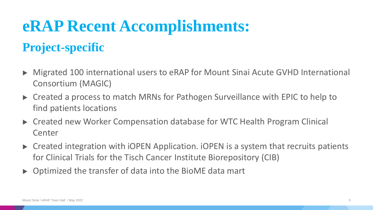## **eRAP Recent Accomplishments:**

### **Project-specific**

- ▶ Migrated 100 international users to eRAP for Mount Sinai Acute GVHD International Consortium (MAGIC)
- ▶ Created a process to match MRNs for Pathogen Surveillance with EPIC to help to find patients locations
- ▶ Created new Worker Compensation database for WTC Health Program Clinical Center
- ▶ Created integration with iOPEN Application. iOPEN is a system that recruits patients for Clinical Trials for the Tisch Cancer Institute Biorepository (CIB)
- $\triangleright$  Optimized the transfer of data into the BioME data mart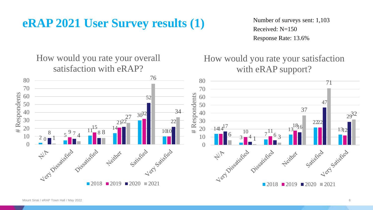### **eRAP 2021 User Survey results (1)**

Number of surveys sent: 1,103 Received: N=150 Response Rate: 13.6%

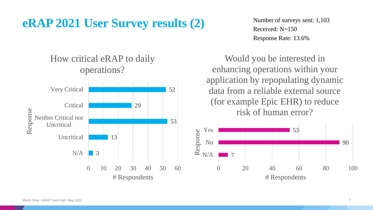### **eRAP 2021 User Survey results (2)**

Number of surveys sent: 1,103 Received:  $N=150$ Response Rate: 13.6%

Would you be interested in enhancing operations within your application by repopulating dynamic data from a reliable external source (for example Epic EHR) to reduce risk of human error?



### How critical eRAP to daily operations?

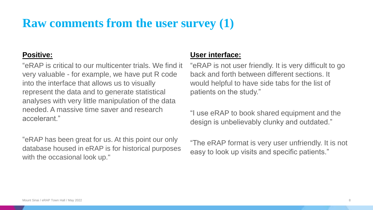### **Raw comments from the user survey (1)**

#### **Positive:**

"eRAP is critical to our multicenter trials. We find it very valuable - for example, we have put R code into the interface that allows us to visually represent the data and to generate statistical analyses with very little manipulation of the data needed. A massive time saver and research accelerant."

"eRAP has been great for us. At this point our only database housed in eRAP is for historical purposes with the occasional look up."

#### **User interface:**

"eRAP is not user friendly. It is very difficult to go back and forth between different sections. It would helpful to have side tabs for the list of patients on the study."

"I use eRAP to book shared equipment and the design is unbelievably clunky and outdated."

"The eRAP format is very user unfriendly. It is not easy to look up visits and specific patients."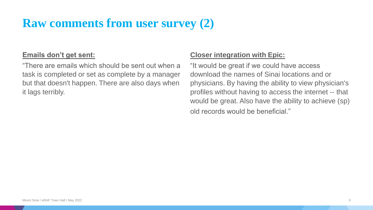### **Raw comments from user survey (2)**

#### **Emails don't get sent:**

"There are emails which should be sent out when a task is completed or set as complete by a manager but that doesn't happen. There are also days when it lags terribly.

#### **Closer integration with Epic:**

"It would be great if we could have access download the names of Sinai locations and or physicians. By having the ability to view physician's profiles without having to access the internet -- that would be great. Also have the ability to achieve (sp) old records would be beneficial."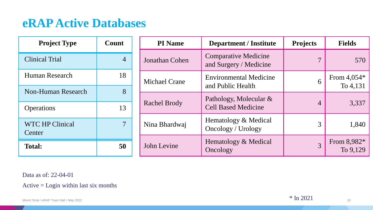### **eRAP Active Databases**

| <b>Project Type</b>                     | Count          | <b>PI</b> Name       | <b>Department / Institute</b>                         | <b>Projects</b> | <b>Fields</b>             |
|-----------------------------------------|----------------|----------------------|-------------------------------------------------------|-----------------|---------------------------|
| <b>Clinical Trial</b>                   | $\overline{4}$ | Jonathan Cohen       | <b>Comparative Medicine</b><br>and Surgery / Medicine | 7               | 570                       |
| Human Research                          | 18             | <b>Michael Crane</b> | <b>Environmental Medicine</b><br>and Public Health    | 6               | From $4,054*$<br>To 4,131 |
| Non-Human Research<br><b>Operations</b> | 8<br>13        | <b>Rachel Brody</b>  | Pathology, Molecular &<br><b>Cell Based Medicine</b>  | $\overline{4}$  | 3,337                     |
| WTC HP Clinical<br>Center               | $\overline{7}$ | Nina Bhardwaj        | Hematology & Medical<br>Oncology / Urology            | 3               | 1,840                     |
| <b>Total:</b>                           | 50             | John Levine          | Hematology & Medical<br>Oncology                      | $\overline{3}$  | From $8,982*$<br>To 9,129 |

Data as of: 22-04-01

Active = Login within last six months

\* In 2021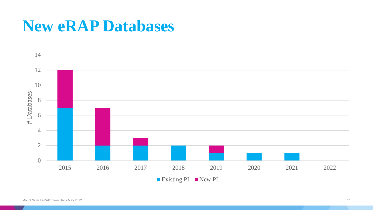### **New eRAP Databases**

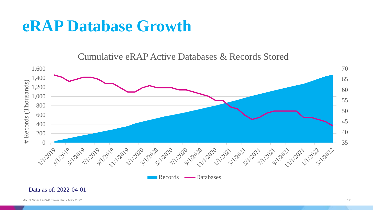### **eRAP Database Growth**

Cumulative eRAP Active Databases & Records Stored

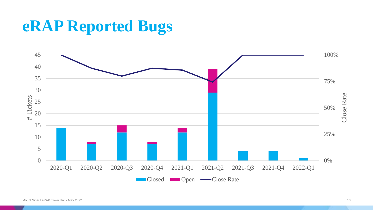## **eRAP Reported Bugs**

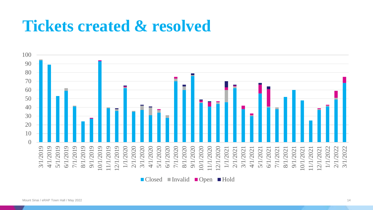### **Tickets created & resolved**

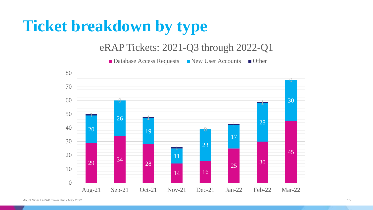## **Ticket breakdown by type**

#### eRAP Tickets: 2021-Q3 through 2022-Q1

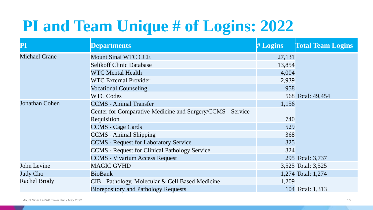## **PI and Team Unique # of Logins: 2022**

| ${\bf P}{\bf I}$     | <b>Departments</b>                                         | # Logins | <b>Total Team Logins</b> |
|----------------------|------------------------------------------------------------|----------|--------------------------|
| <b>Michael Crane</b> | <b>Mount Sinai WTC CCE</b>                                 | 27,131   |                          |
|                      | <b>Selikoff Clinic Database</b>                            | 13,854   |                          |
|                      | <b>WTC Mental Health</b>                                   | 4,004    |                          |
|                      | <b>WTC External Provider</b>                               | 2,939    |                          |
|                      | <b>Vocational Counseling</b>                               | 958      |                          |
|                      | <b>WTC Codes</b>                                           |          | 568 Total: 49,454        |
| Jonathan Cohen       | <b>CCMS</b> - Animal Transfer                              | 1,156    |                          |
|                      | Center for Comparative Medicine and Surgery/CCMS - Service |          |                          |
|                      | Requisition                                                | 740      |                          |
|                      | <b>CCMS</b> - Cage Cards                                   | 529      |                          |
|                      | <b>CCMS</b> - Animal Shipping                              | 368      |                          |
|                      | <b>CCMS</b> - Request for Laboratory Service               | 325      |                          |
|                      | <b>CCMS</b> - Request for Clinical Pathology Service       | 324      |                          |
|                      | <b>CCMS</b> - Vivarium Access Request                      |          | 295 Total: 3,737         |
| John Levine          | <b>MAGIC GVHD</b>                                          |          | 3,525 Total: 3,525       |
| Judy Cho             | <b>BioBank</b>                                             |          | 1,274 Total: 1,274       |
| Rachel Brody         | CIB - Pathology, Molecular & Cell Based Medicine           | 1,209    |                          |
|                      | <b>Biorepository and Pathology Requests</b>                |          | 104 Total: 1,313         |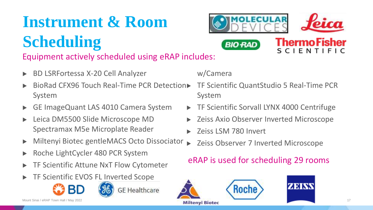# **Instrument & Room**

# **Scheduling**

Equipment actively scheduled using eRAP includes:

- ▶ BD LSRFortessa X-20 Cell Analyzer
- **BioRad CFX96 Touch Real-Time PCR Detection▶** System
- ▶ GE ImageQuant LAS 4010 Camera System
- ▶ Leica DM5500 Slide Microscope MD Spectramax M5e Microplate Reader
- ▶ Miltenyi Biotec gentleMACS Octo Dissociator
- ▶ Roche LightCycler 480 PCR System
- **TF Scientific Attune NxT Flow Cytometer**
- **TF Scientific EVOS FL Inverted Scope**





**GE** Healthcare

#### w/Camera

▶ TF Scientific QuantStudio 5 Real-Time PCR System

**ThermoFisher** 

**SCIENTIFIC** 

▶ TF Scientific Sorvall LYNX 4000 Centrifuge

**MOLFCUI** 

**BIO RAD** 

- ▶ Zeiss Axio Observer Inverted Microscope
- Zeiss LSM 780 Invert
- **Zeiss Observer 7 Inverted Microscope**

### eRAP is used for scheduling 29 rooms



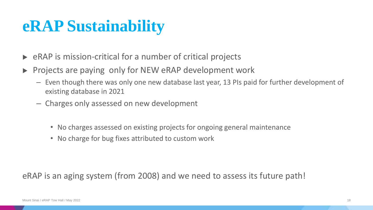## **eRAP Sustainability**

- $\triangleright$  eRAP is mission-critical for a number of critical projects
- ▶ Projects are paying only for NEW eRAP development work
	- Even though there was only one new database last year, 13 PIs paid for further development of existing database in 2021
	- Charges only assessed on new development
		- No charges assessed on existing projects for ongoing general maintenance
		- No charge for bug fixes attributed to custom work

eRAP is an aging system (from 2008) and we need to assess its future path!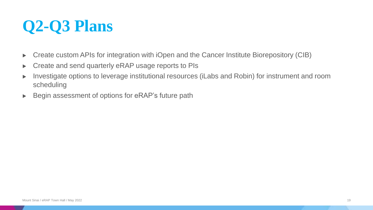## **Q2-Q3 Plans**

- ▶ Create custom APIs for integration with iOpen and the Cancer Institute Biorepository (CIB)
- ▶ Create and send quarterly eRAP usage reports to PIs
- ▶ Investigate options to leverage institutional resources (iLabs and Robin) for instrument and room scheduling
- ▶ Begin assessment of options for eRAP's future path